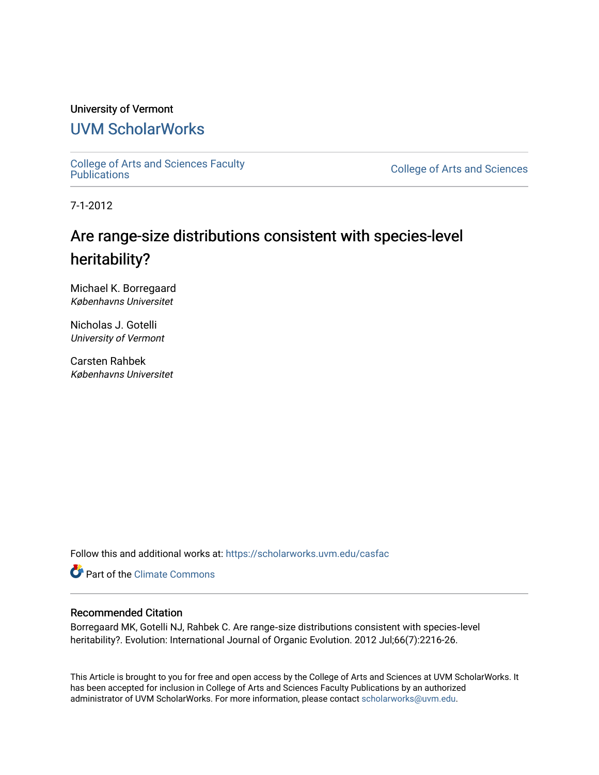#### University of Vermont

### [UVM ScholarWorks](https://scholarworks.uvm.edu/)

[College of Arts and Sciences Faculty](https://scholarworks.uvm.edu/casfac)

**College of Arts and Sciences** 

7-1-2012

## Are range-size distributions consistent with species-level heritability?

Michael K. Borregaard Københavns Universitet

Nicholas J. Gotelli University of Vermont

Carsten Rahbek Københavns Universitet

Follow this and additional works at: [https://scholarworks.uvm.edu/casfac](https://scholarworks.uvm.edu/casfac?utm_source=scholarworks.uvm.edu%2Fcasfac%2F93&utm_medium=PDF&utm_campaign=PDFCoverPages) 

**C** Part of the Climate Commons

#### Recommended Citation

Borregaard MK, Gotelli NJ, Rahbek C. Are range‐size distributions consistent with species‐level heritability?. Evolution: International Journal of Organic Evolution. 2012 Jul;66(7):2216-26.

This Article is brought to you for free and open access by the College of Arts and Sciences at UVM ScholarWorks. It has been accepted for inclusion in College of Arts and Sciences Faculty Publications by an authorized administrator of UVM ScholarWorks. For more information, please contact [scholarworks@uvm.edu](mailto:scholarworks@uvm.edu).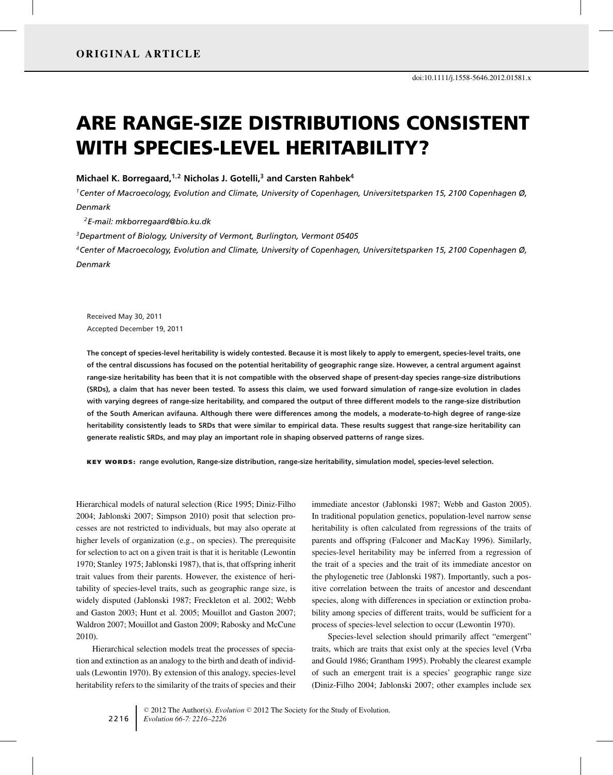# **ARE RANGE-SIZE DISTRIBUTIONS CONSISTENT WITH SPECIES-LEVEL HERITABILITY?**

**Michael K. Borregaard,1,<sup>2</sup> Nicholas J. Gotelli,3 and Carsten Rahbek4**

*1Center of Macroecology, Evolution and Climate, University of Copenhagen, Universitetsparken 15, 2100 Copenhagen Ø, Denmark*

*2E-mail: mkborregaard@bio.ku.dk*

*3Department of Biology, University of Vermont, Burlington, Vermont 05405*

*4Center of Macroecology, Evolution and Climate, University of Copenhagen, Universitetsparken 15, 2100 Copenhagen Ø, Denmark*

Received May 30, 2011 Accepted December 19, 2011

**The concept of species-level heritability is widely contested. Because it is most likely to apply to emergent, species-level traits, one of the central discussions has focused on the potential heritability of geographic range size. However, a central argument against range-size heritability has been that it is not compatible with the observed shape of present-day species range-size distributions (SRDs), a claim that has never been tested. To assess this claim, we used forward simulation of range-size evolution in clades with varying degrees of range-size heritability, and compared the output of three different models to the range-size distribution of the South American avifauna. Although there were differences among the models, a moderate-to-high degree of range-size heritability consistently leads to SRDs that were similar to empirical data. These results suggest that range-size heritability can generate realistic SRDs, and may play an important role in shaping observed patterns of range sizes.**

**KEY WORDS: range evolution, Range-size distribution, range-size heritability, simulation model, species-level selection.**

Hierarchical models of natural selection (Rice 1995; Diniz-Filho 2004; Jablonski 2007; Simpson 2010) posit that selection processes are not restricted to individuals, but may also operate at higher levels of organization (e.g., on species). The prerequisite for selection to act on a given trait is that it is heritable (Lewontin 1970; Stanley 1975; Jablonski 1987), that is, that offspring inherit trait values from their parents. However, the existence of heritability of species-level traits, such as geographic range size, is widely disputed (Jablonski 1987; Freckleton et al. 2002; Webb and Gaston 2003; Hunt et al. 2005; Mouillot and Gaston 2007; Waldron 2007; Mouillot and Gaston 2009; Rabosky and McCune 2010).

Hierarchical selection models treat the processes of speciation and extinction as an analogy to the birth and death of individuals (Lewontin 1970). By extension of this analogy, species-level heritability refers to the similarity of the traits of species and their immediate ancestor (Jablonski 1987; Webb and Gaston 2005). In traditional population genetics, population-level narrow sense heritability is often calculated from regressions of the traits of parents and offspring (Falconer and MacKay 1996). Similarly, species-level heritability may be inferred from a regression of the trait of a species and the trait of its immediate ancestor on the phylogenetic tree (Jablonski 1987). Importantly, such a positive correlation between the traits of ancestor and descendant species, along with differences in speciation or extinction probability among species of different traits, would be sufficient for a process of species-level selection to occur (Lewontin 1970).

Species-level selection should primarily affect "emergent" traits, which are traits that exist only at the species level (Vrba and Gould 1986; Grantham 1995). Probably the clearest example of such an emergent trait is a species' geographic range size (Diniz-Filho 2004; Jablonski 2007; other examples include sex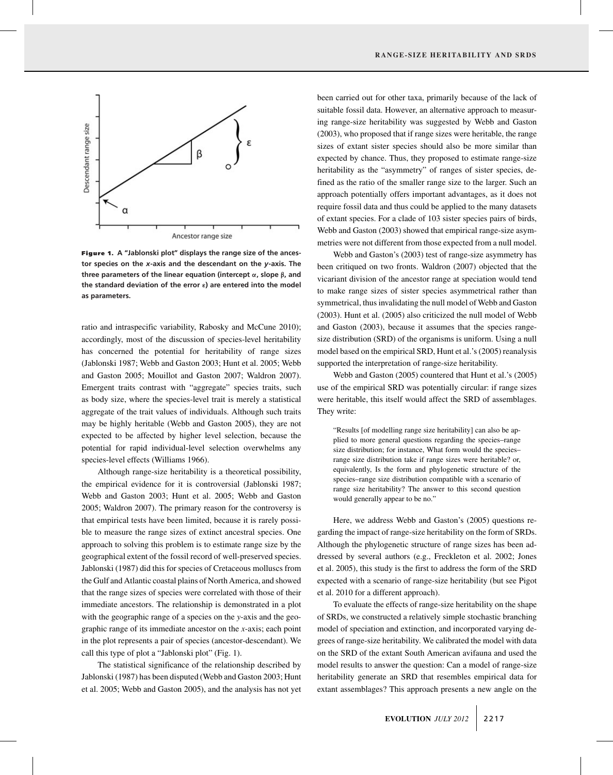

**Figure 1. A "Jablonski plot" displays the range size of the ancestor species on the** *x***-axis and the descendant on the** *y***-axis. The three parameters of the linear equation (intercept α, slope β, and the standard deviation of the error ε) are entered into the model as parameters.**

ratio and intraspecific variability, Rabosky and McCune 2010); accordingly, most of the discussion of species-level heritability has concerned the potential for heritability of range sizes (Jablonski 1987; Webb and Gaston 2003; Hunt et al. 2005; Webb and Gaston 2005; Mouillot and Gaston 2007; Waldron 2007). Emergent traits contrast with "aggregate" species traits, such as body size, where the species-level trait is merely a statistical aggregate of the trait values of individuals. Although such traits may be highly heritable (Webb and Gaston 2005), they are not expected to be affected by higher level selection, because the potential for rapid individual-level selection overwhelms any species-level effects (Williams 1966).

Although range-size heritability is a theoretical possibility, the empirical evidence for it is controversial (Jablonski 1987; Webb and Gaston 2003; Hunt et al. 2005; Webb and Gaston 2005; Waldron 2007). The primary reason for the controversy is that empirical tests have been limited, because it is rarely possible to measure the range sizes of extinct ancestral species. One approach to solving this problem is to estimate range size by the geographical extent of the fossil record of well-preserved species. Jablonski (1987) did this for species of Cretaceous molluscs from the Gulf and Atlantic coastal plains of North America, and showed that the range sizes of species were correlated with those of their immediate ancestors. The relationship is demonstrated in a plot with the geographic range of a species on the *y*-axis and the geographic range of its immediate ancestor on the *x*-axis; each point in the plot represents a pair of species (ancestor-descendant). We call this type of plot a "Jablonski plot" (Fig. 1).

The statistical significance of the relationship described by Jablonski (1987) has been disputed (Webb and Gaston 2003; Hunt et al. 2005; Webb and Gaston 2005), and the analysis has not yet been carried out for other taxa, primarily because of the lack of suitable fossil data. However, an alternative approach to measuring range-size heritability was suggested by Webb and Gaston (2003), who proposed that if range sizes were heritable, the range sizes of extant sister species should also be more similar than expected by chance. Thus, they proposed to estimate range-size heritability as the "asymmetry" of ranges of sister species, defined as the ratio of the smaller range size to the larger. Such an approach potentially offers important advantages, as it does not require fossil data and thus could be applied to the many datasets of extant species. For a clade of 103 sister species pairs of birds, Webb and Gaston (2003) showed that empirical range-size asymmetries were not different from those expected from a null model.

Webb and Gaston's (2003) test of range-size asymmetry has been critiqued on two fronts. Waldron (2007) objected that the vicariant division of the ancestor range at speciation would tend to make range sizes of sister species asymmetrical rather than symmetrical, thus invalidating the null model of Webb and Gaston (2003). Hunt et al. (2005) also criticized the null model of Webb and Gaston (2003), because it assumes that the species rangesize distribution (SRD) of the organisms is uniform. Using a null model based on the empirical SRD, Hunt et al.'s (2005) reanalysis supported the interpretation of range-size heritability.

Webb and Gaston (2005) countered that Hunt et al.'s (2005) use of the empirical SRD was potentially circular: if range sizes were heritable, this itself would affect the SRD of assemblages. They write:

"Results [of modelling range size heritability] can also be applied to more general questions regarding the species–range size distribution; for instance, What form would the species– range size distribution take if range sizes were heritable? or, equivalently, Is the form and phylogenetic structure of the species–range size distribution compatible with a scenario of range size heritability? The answer to this second question would generally appear to be no."

Here, we address Webb and Gaston's (2005) questions regarding the impact of range-size heritability on the form of SRDs. Although the phylogenetic structure of range sizes has been addressed by several authors (e.g., Freckleton et al. 2002; Jones et al. 2005), this study is the first to address the form of the SRD expected with a scenario of range-size heritability (but see Pigot et al. 2010 for a different approach).

To evaluate the effects of range-size heritability on the shape of SRDs, we constructed a relatively simple stochastic branching model of speciation and extinction, and incorporated varying degrees of range-size heritability. We calibrated the model with data on the SRD of the extant South American avifauna and used the model results to answer the question: Can a model of range-size heritability generate an SRD that resembles empirical data for extant assemblages? This approach presents a new angle on the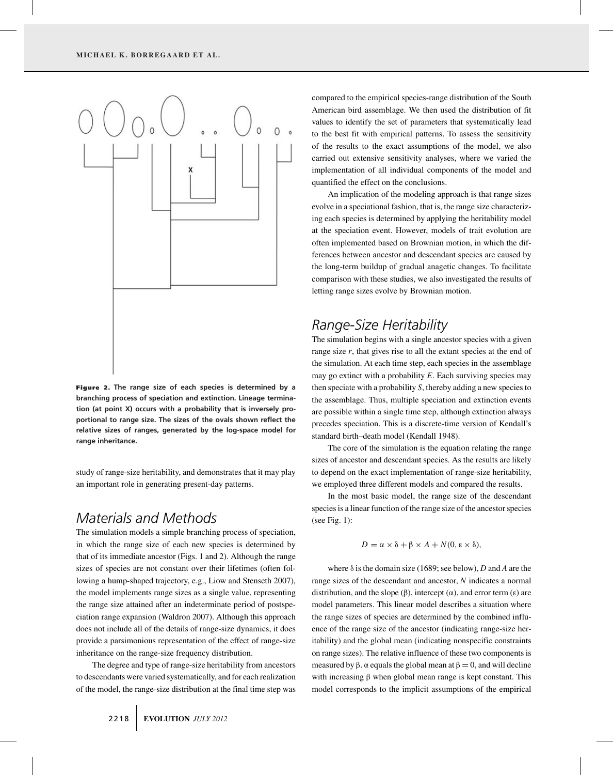

**Figure 2. The range size of each species is determined by a branching process of speciation and extinction. Lineage termination (at point X) occurs with a probability that is inversely proportional to range size. The sizes of the ovals shown reflect the relative sizes of ranges, generated by the log-space model for range inheritance.**

study of range-size heritability, and demonstrates that it may play an important role in generating present-day patterns.

### *Materials and Methods*

The simulation models a simple branching process of speciation, in which the range size of each new species is determined by that of its immediate ancestor (Figs. 1 and 2). Although the range sizes of species are not constant over their lifetimes (often following a hump-shaped trajectory, e.g., Liow and Stenseth 2007), the model implements range sizes as a single value, representing the range size attained after an indeterminate period of postspeciation range expansion (Waldron 2007). Although this approach does not include all of the details of range-size dynamics, it does provide a parsimonious representation of the effect of range-size inheritance on the range-size frequency distribution.

The degree and type of range-size heritability from ancestors to descendants were varied systematically, and for each realization of the model, the range-size distribution at the final time step was

2218 **EVOLUTION** *JULY 2012*

compared to the empirical species-range distribution of the South American bird assemblage. We then used the distribution of fit values to identify the set of parameters that systematically lead to the best fit with empirical patterns. To assess the sensitivity of the results to the exact assumptions of the model, we also carried out extensive sensitivity analyses, where we varied the implementation of all individual components of the model and quantified the effect on the conclusions.

An implication of the modeling approach is that range sizes evolve in a speciational fashion, that is, the range size characterizing each species is determined by applying the heritability model at the speciation event. However, models of trait evolution are often implemented based on Brownian motion, in which the differences between ancestor and descendant species are caused by the long-term buildup of gradual anagetic changes. To facilitate comparison with these studies, we also investigated the results of letting range sizes evolve by Brownian motion.

### *Range-Size Heritability*

The simulation begins with a single ancestor species with a given range size  $r$ , that gives rise to all the extant species at the end of the simulation. At each time step, each species in the assemblage may go extinct with a probability *E*. Each surviving species may then speciate with a probability *S*, thereby adding a new species to the assemblage. Thus, multiple speciation and extinction events are possible within a single time step, although extinction always precedes speciation. This is a discrete-time version of Kendall's standard birth–death model (Kendall 1948).

The core of the simulation is the equation relating the range sizes of ancestor and descendant species. As the results are likely to depend on the exact implementation of range-size heritability, we employed three different models and compared the results.

In the most basic model, the range size of the descendant species is a linear function of the range size of the ancestor species (see Fig. 1):

$$
D = \alpha \times \delta + \beta \times A + N(0, \varepsilon \times \delta),
$$

where δ is the domain size (1689; see below), *D* and *A* are the range sizes of the descendant and ancestor, *N* indicates a normal distribution, and the slope (β), intercept (α), and error term (ε) are model parameters. This linear model describes a situation where the range sizes of species are determined by the combined influence of the range size of the ancestor (indicating range-size heritability) and the global mean (indicating nonspecific constraints on range sizes). The relative influence of these two components is measured by  $\beta$ .  $\alpha$  equals the global mean at  $\beta = 0$ , and will decline with increasing  $\beta$  when global mean range is kept constant. This model corresponds to the implicit assumptions of the empirical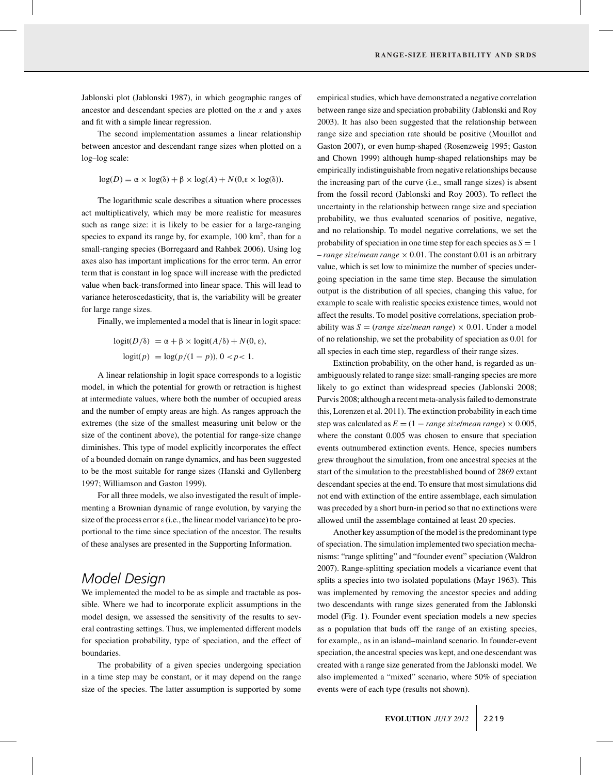Jablonski plot (Jablonski 1987), in which geographic ranges of ancestor and descendant species are plotted on the *x* and *y* axes and fit with a simple linear regression.

The second implementation assumes a linear relationship between ancestor and descendant range sizes when plotted on a log–log scale:

$$
\log(D) = \alpha \times \log(\delta) + \beta \times \log(A) + N(0, \varepsilon \times \log(\delta)).
$$

The logarithmic scale describes a situation where processes act multiplicatively, which may be more realistic for measures such as range size: it is likely to be easier for a large-ranging species to expand its range by, for example,  $100 \text{ km}^2$ , than for a small-ranging species (Borregaard and Rahbek 2006). Using log axes also has important implications for the error term. An error term that is constant in log space will increase with the predicted value when back-transformed into linear space. This will lead to variance heteroscedasticity, that is, the variability will be greater for large range sizes.

Finally, we implemented a model that is linear in logit space:

$$
logit(D/\delta) = \alpha + \beta \times logit(A/\delta) + N(0, \varepsilon),
$$
  

$$
logit(p) = log(p/(1 - p)), 0 < p < 1.
$$

A linear relationship in logit space corresponds to a logistic model, in which the potential for growth or retraction is highest at intermediate values, where both the number of occupied areas and the number of empty areas are high. As ranges approach the extremes (the size of the smallest measuring unit below or the size of the continent above), the potential for range-size change diminishes. This type of model explicitly incorporates the effect of a bounded domain on range dynamics, and has been suggested to be the most suitable for range sizes (Hanski and Gyllenberg 1997; Williamson and Gaston 1999).

For all three models, we also investigated the result of implementing a Brownian dynamic of range evolution, by varying the size of the process error  $\varepsilon$  (i.e., the linear model variance) to be proportional to the time since speciation of the ancestor. The results of these analyses are presented in the Supporting Information.

#### *Model Design*

We implemented the model to be as simple and tractable as possible. Where we had to incorporate explicit assumptions in the model design, we assessed the sensitivity of the results to several contrasting settings. Thus, we implemented different models for speciation probability, type of speciation, and the effect of boundaries.

The probability of a given species undergoing speciation in a time step may be constant, or it may depend on the range size of the species. The latter assumption is supported by some empirical studies, which have demonstrated a negative correlation between range size and speciation probability (Jablonski and Roy 2003). It has also been suggested that the relationship between range size and speciation rate should be positive (Mouillot and Gaston 2007), or even hump-shaped (Rosenzweig 1995; Gaston and Chown 1999) although hump-shaped relationships may be empirically indistinguishable from negative relationships because the increasing part of the curve (i.e., small range sizes) is absent from the fossil record (Jablonski and Roy 2003). To reflect the uncertainty in the relationship between range size and speciation probability, we thus evaluated scenarios of positive, negative, and no relationship. To model negative correlations, we set the probability of speciation in one time step for each species as  $S = 1$  $-$ *range size/mean range*  $\times$  0.01. The constant 0.01 is an arbitrary value, which is set low to minimize the number of species undergoing speciation in the same time step. Because the simulation output is the distribution of all species, changing this value, for example to scale with realistic species existence times, would not affect the results. To model positive correlations, speciation probability was  $S = \text{(range size/mean range)} \times 0.01$ . Under a model of no relationship, we set the probability of speciation as 0.01 for all species in each time step, regardless of their range sizes.

Extinction probability, on the other hand, is regarded as unambiguously related to range size: small-ranging species are more likely to go extinct than widespread species (Jablonski 2008; Purvis 2008; although a recent meta-analysis failed to demonstrate this, Lorenzen et al. 2011). The extinction probability in each time step was calculated as  $E = (1 - range size/mean range) \times 0.005$ , where the constant 0.005 was chosen to ensure that speciation events outnumbered extinction events. Hence, species numbers grew throughout the simulation, from one ancestral species at the start of the simulation to the preestablished bound of 2869 extant descendant species at the end. To ensure that most simulations did not end with extinction of the entire assemblage, each simulation was preceded by a short burn-in period so that no extinctions were allowed until the assemblage contained at least 20 species.

Another key assumption of the model is the predominant type of speciation. The simulation implemented two speciation mechanisms: "range splitting" and "founder event" speciation (Waldron 2007). Range-splitting speciation models a vicariance event that splits a species into two isolated populations (Mayr 1963). This was implemented by removing the ancestor species and adding two descendants with range sizes generated from the Jablonski model (Fig. 1). Founder event speciation models a new species as a population that buds off the range of an existing species, for example,, as in an island–mainland scenario. In founder-event speciation, the ancestral species was kept, and one descendant was created with a range size generated from the Jablonski model. We also implemented a "mixed" scenario, where 50% of speciation events were of each type (results not shown).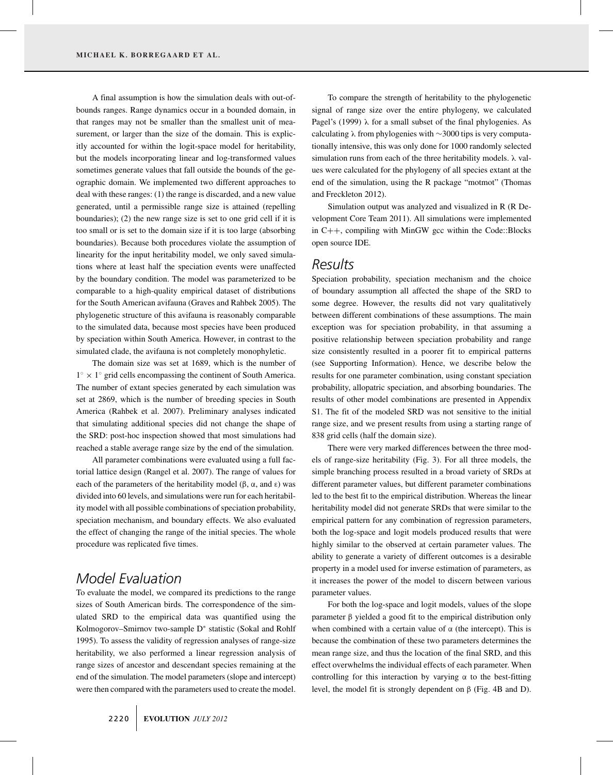A final assumption is how the simulation deals with out-ofbounds ranges. Range dynamics occur in a bounded domain, in that ranges may not be smaller than the smallest unit of measurement, or larger than the size of the domain. This is explicitly accounted for within the logit-space model for heritability, but the models incorporating linear and log-transformed values sometimes generate values that fall outside the bounds of the geographic domain. We implemented two different approaches to deal with these ranges: (1) the range is discarded, and a new value generated, until a permissible range size is attained (repelling boundaries); (2) the new range size is set to one grid cell if it is too small or is set to the domain size if it is too large (absorbing boundaries). Because both procedures violate the assumption of linearity for the input heritability model, we only saved simulations where at least half the speciation events were unaffected by the boundary condition. The model was parameterized to be comparable to a high-quality empirical dataset of distributions for the South American avifauna (Graves and Rahbek 2005). The phylogenetic structure of this avifauna is reasonably comparable to the simulated data, because most species have been produced by speciation within South America. However, in contrast to the simulated clade, the avifauna is not completely monophyletic.

The domain size was set at 1689, which is the number of 1◦ × 1◦ grid cells encompassing the continent of South America. The number of extant species generated by each simulation was set at 2869, which is the number of breeding species in South America (Rahbek et al. 2007). Preliminary analyses indicated that simulating additional species did not change the shape of the SRD: post-hoc inspection showed that most simulations had reached a stable average range size by the end of the simulation.

All parameter combinations were evaluated using a full factorial lattice design (Rangel et al. 2007). The range of values for each of the parameters of the heritability model  $(\beta, \alpha, \text{ and } \varepsilon)$  was divided into 60 levels, and simulations were run for each heritability model with all possible combinations of speciation probability, speciation mechanism, and boundary effects. We also evaluated the effect of changing the range of the initial species. The whole procedure was replicated five times.

### *Model Evaluation*

To evaluate the model, we compared its predictions to the range sizes of South American birds. The correspondence of the simulated SRD to the empirical data was quantified using the Kolmogorov–Smirnov two-sample D<sup>∗</sup> statistic (Sokal and Rohlf 1995). To assess the validity of regression analyses of range-size heritability, we also performed a linear regression analysis of range sizes of ancestor and descendant species remaining at the end of the simulation. The model parameters (slope and intercept) were then compared with the parameters used to create the model.

To compare the strength of heritability to the phylogenetic signal of range size over the entire phylogeny, we calculated Pagel's (1999)  $\lambda$  for a small subset of the final phylogenies. As calculating λ from phylogenies with ∼3000 tips is very computationally intensive, this was only done for 1000 randomly selected simulation runs from each of the three heritability models. λ values were calculated for the phylogeny of all species extant at the end of the simulation, using the R package "motmot" (Thomas and Freckleton 2012).

Simulation output was analyzed and visualized in R (R Development Core Team 2011). All simulations were implemented in C++, compiling with MinGW gcc within the Code::Blocks open source IDE.

#### *Results*

Speciation probability, speciation mechanism and the choice of boundary assumption all affected the shape of the SRD to some degree. However, the results did not vary qualitatively between different combinations of these assumptions. The main exception was for speciation probability, in that assuming a positive relationship between speciation probability and range size consistently resulted in a poorer fit to empirical patterns (see Supporting Information). Hence, we describe below the results for one parameter combination, using constant speciation probability, allopatric speciation, and absorbing boundaries. The results of other model combinations are presented in Appendix S1. The fit of the modeled SRD was not sensitive to the initial range size, and we present results from using a starting range of 838 grid cells (half the domain size).

There were very marked differences between the three models of range-size heritability (Fig. 3). For all three models, the simple branching process resulted in a broad variety of SRDs at different parameter values, but different parameter combinations led to the best fit to the empirical distribution. Whereas the linear heritability model did not generate SRDs that were similar to the empirical pattern for any combination of regression parameters, both the log-space and logit models produced results that were highly similar to the observed at certain parameter values. The ability to generate a variety of different outcomes is a desirable property in a model used for inverse estimation of parameters, as it increases the power of the model to discern between various parameter values.

For both the log-space and logit models, values of the slope parameter β yielded a good fit to the empirical distribution only when combined with a certain value of  $\alpha$  (the intercept). This is because the combination of these two parameters determines the mean range size, and thus the location of the final SRD, and this effect overwhelms the individual effects of each parameter. When controlling for this interaction by varying  $\alpha$  to the best-fitting level, the model fit is strongly dependent on β (Fig. 4B and D).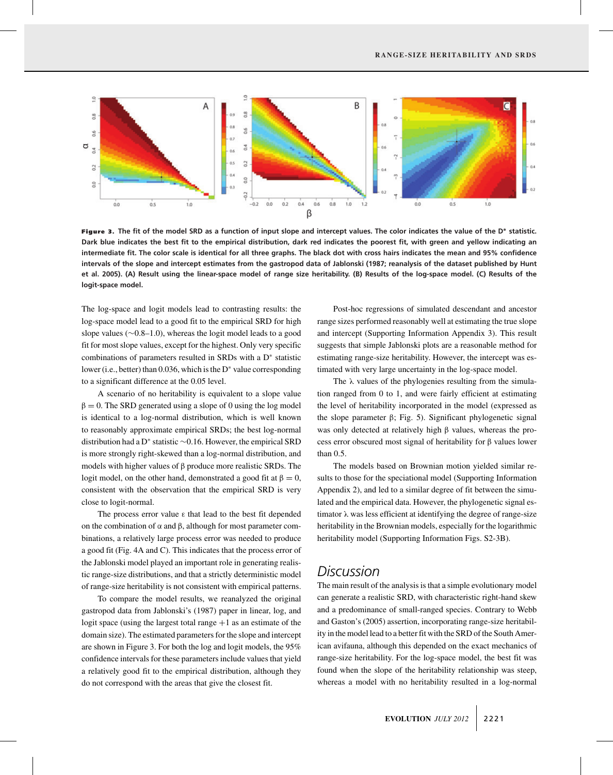

**Figure 3. The fit of the model SRD as a function of input slope and intercept values. The color indicates the value of the D∗ statistic. Dark blue indicates the best fit to the empirical distribution, dark red indicates the poorest fit, with green and yellow indicating an intermediate fit. The color scale is identical for all three graphs. The black dot with cross hairs indicates the mean and 95% confidence intervals of the slope and intercept estimates from the gastropod data of Jablonski (1987; reanalysis of the dataset published by Hunt et al. 2005). (A) Result using the linear-space model of range size heritability. (B) Results of the log-space model. (C) Results of the logit-space model.**

The log-space and logit models lead to contrasting results: the log-space model lead to a good fit to the empirical SRD for high slope values (∼0.8–1.0), whereas the logit model leads to a good fit for most slope values, except for the highest. Only very specific combinations of parameters resulted in SRDs with a D<sup>∗</sup> statistic lower (i.e., better) than 0.036, which is the D<sup>∗</sup> value corresponding to a significant difference at the 0.05 level.

A scenario of no heritability is equivalent to a slope value  $\beta = 0$ . The SRD generated using a slope of 0 using the log model is identical to a log-normal distribution, which is well known to reasonably approximate empirical SRDs; the best log-normal distribution had a D<sup>∗</sup> statistic ∼0.16. However, the empirical SRD is more strongly right-skewed than a log-normal distribution, and models with higher values of β produce more realistic SRDs. The logit model, on the other hand, demonstrated a good fit at  $\beta = 0$ , consistent with the observation that the empirical SRD is very close to logit-normal.

The process error value ε that lead to the best fit depended on the combination of  $\alpha$  and  $\beta$ , although for most parameter combinations, a relatively large process error was needed to produce a good fit (Fig. 4A and C). This indicates that the process error of the Jablonski model played an important role in generating realistic range-size distributions, and that a strictly deterministic model of range-size heritability is not consistent with empirical patterns.

To compare the model results, we reanalyzed the original gastropod data from Jablonski's (1987) paper in linear, log, and logit space (using the largest total range  $+1$  as an estimate of the domain size). The estimated parameters for the slope and intercept are shown in Figure 3. For both the log and logit models, the 95% confidence intervals for these parameters include values that yield a relatively good fit to the empirical distribution, although they do not correspond with the areas that give the closest fit.

Post-hoc regressions of simulated descendant and ancestor range sizes performed reasonably well at estimating the true slope and intercept (Supporting Information Appendix 3). This result suggests that simple Jablonski plots are a reasonable method for estimating range-size heritability. However, the intercept was estimated with very large uncertainty in the log-space model.

The  $\lambda$  values of the phylogenies resulting from the simulation ranged from 0 to 1, and were fairly efficient at estimating the level of heritability incorporated in the model (expressed as the slope parameter β; Fig. 5). Significant phylogenetic signal was only detected at relatively high β values, whereas the process error obscured most signal of heritability for β values lower than 0.5.

The models based on Brownian motion yielded similar results to those for the speciational model (Supporting Information Appendix 2), and led to a similar degree of fit between the simulated and the empirical data. However, the phylogenetic signal estimator  $\lambda$  was less efficient at identifying the degree of range-size heritability in the Brownian models, especially for the logarithmic heritability model (Supporting Information Figs. S2-3B).

#### *Discussion*

The main result of the analysis is that a simple evolutionary model can generate a realistic SRD, with characteristic right-hand skew and a predominance of small-ranged species. Contrary to Webb and Gaston's (2005) assertion, incorporating range-size heritability in the model lead to a better fit with the SRD of the South American avifauna, although this depended on the exact mechanics of range-size heritability. For the log-space model, the best fit was found when the slope of the heritability relationship was steep, whereas a model with no heritability resulted in a log-normal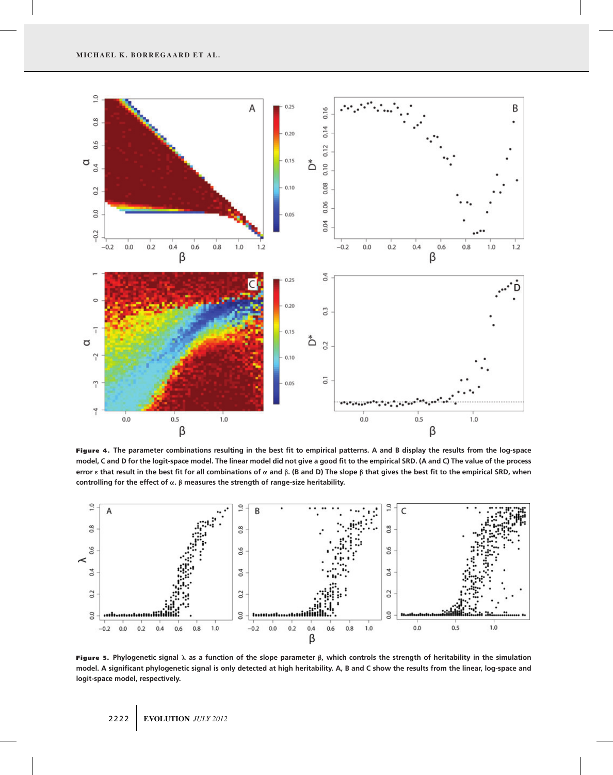

**Figure 4. The parameter combinations resulting in the best fit to empirical patterns. A and B display the results from the log-space model, C and D for the logit-space model. The linear model did not give a good fit to the empirical SRD. (A and C) The value of the process error ε that result in the best fit for all combinations of α and β. (B and D) The slope β that gives the best fit to the empirical SRD, when controlling for the effect of α. β measures the strength of range-size heritability.**



**Figure 5. Phylogenetic signal λ as a function of the slope parameter β, which controls the strength of heritability in the simulation model. A significant phylogenetic signal is only detected at high heritability. A, B and C show the results from the linear, log-space and logit-space model, respectively.**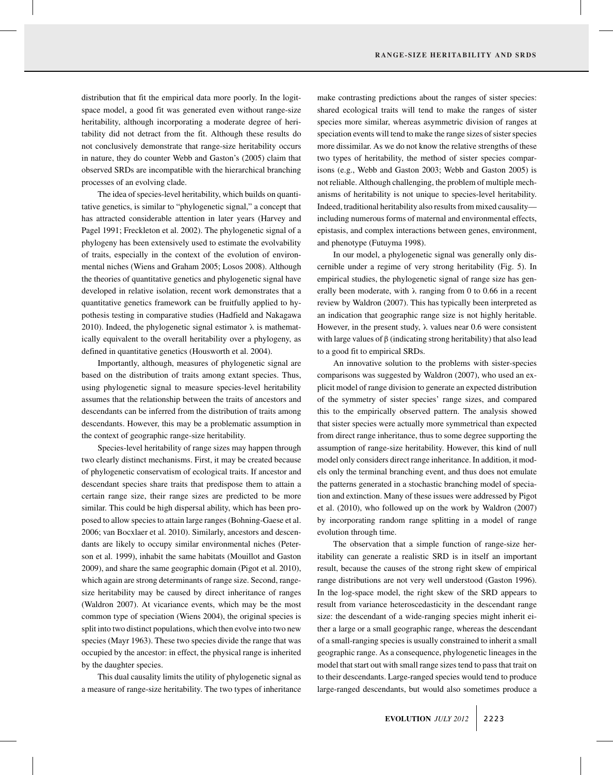distribution that fit the empirical data more poorly. In the logitspace model, a good fit was generated even without range-size heritability, although incorporating a moderate degree of heritability did not detract from the fit. Although these results do not conclusively demonstrate that range-size heritability occurs in nature, they do counter Webb and Gaston's (2005) claim that observed SRDs are incompatible with the hierarchical branching processes of an evolving clade.

The idea of species-level heritability, which builds on quantitative genetics, is similar to "phylogenetic signal," a concept that has attracted considerable attention in later years (Harvey and Pagel 1991; Freckleton et al. 2002). The phylogenetic signal of a phylogeny has been extensively used to estimate the evolvability of traits, especially in the context of the evolution of environmental niches (Wiens and Graham 2005; Losos 2008). Although the theories of quantitative genetics and phylogenetic signal have developed in relative isolation, recent work demonstrates that a quantitative genetics framework can be fruitfully applied to hypothesis testing in comparative studies (Hadfield and Nakagawa 2010). Indeed, the phylogenetic signal estimator  $\lambda$  is mathematically equivalent to the overall heritability over a phylogeny, as defined in quantitative genetics (Housworth et al. 2004).

Importantly, although, measures of phylogenetic signal are based on the distribution of traits among extant species. Thus, using phylogenetic signal to measure species-level heritability assumes that the relationship between the traits of ancestors and descendants can be inferred from the distribution of traits among descendants. However, this may be a problematic assumption in the context of geographic range-size heritability.

Species-level heritability of range sizes may happen through two clearly distinct mechanisms. First, it may be created because of phylogenetic conservatism of ecological traits. If ancestor and descendant species share traits that predispose them to attain a certain range size, their range sizes are predicted to be more similar. This could be high dispersal ability, which has been proposed to allow species to attain large ranges (Bohning-Gaese et al. 2006; van Bocxlaer et al. 2010). Similarly, ancestors and descendants are likely to occupy similar environmental niches (Peterson et al. 1999), inhabit the same habitats (Mouillot and Gaston 2009), and share the same geographic domain (Pigot et al. 2010), which again are strong determinants of range size. Second, rangesize heritability may be caused by direct inheritance of ranges (Waldron 2007). At vicariance events, which may be the most common type of speciation (Wiens 2004), the original species is split into two distinct populations, which then evolve into two new species (Mayr 1963). These two species divide the range that was occupied by the ancestor: in effect, the physical range is inherited by the daughter species.

This dual causality limits the utility of phylogenetic signal as a measure of range-size heritability. The two types of inheritance make contrasting predictions about the ranges of sister species: shared ecological traits will tend to make the ranges of sister species more similar, whereas asymmetric division of ranges at speciation events will tend to make the range sizes of sister species more dissimilar. As we do not know the relative strengths of these two types of heritability, the method of sister species comparisons (e.g., Webb and Gaston 2003; Webb and Gaston 2005) is not reliable. Although challenging, the problem of multiple mechanisms of heritability is not unique to species-level heritability. Indeed, traditional heritability also results from mixed causality including numerous forms of maternal and environmental effects, epistasis, and complex interactions between genes, environment, and phenotype (Futuyma 1998).

In our model, a phylogenetic signal was generally only discernible under a regime of very strong heritability (Fig. 5). In empirical studies, the phylogenetic signal of range size has generally been moderate, with  $\lambda$  ranging from 0 to 0.66 in a recent review by Waldron (2007). This has typically been interpreted as an indication that geographic range size is not highly heritable. However, in the present study,  $\lambda$  values near 0.6 were consistent with large values of  $\beta$  (indicating strong heritability) that also lead to a good fit to empirical SRDs.

An innovative solution to the problems with sister-species comparisons was suggested by Waldron (2007), who used an explicit model of range division to generate an expected distribution of the symmetry of sister species' range sizes, and compared this to the empirically observed pattern. The analysis showed that sister species were actually more symmetrical than expected from direct range inheritance, thus to some degree supporting the assumption of range-size heritability. However, this kind of null model only considers direct range inheritance. In addition, it models only the terminal branching event, and thus does not emulate the patterns generated in a stochastic branching model of speciation and extinction. Many of these issues were addressed by Pigot et al. (2010), who followed up on the work by Waldron (2007) by incorporating random range splitting in a model of range evolution through time.

The observation that a simple function of range-size heritability can generate a realistic SRD is in itself an important result, because the causes of the strong right skew of empirical range distributions are not very well understood (Gaston 1996). In the log-space model, the right skew of the SRD appears to result from variance heteroscedasticity in the descendant range size: the descendant of a wide-ranging species might inherit either a large or a small geographic range, whereas the descendant of a small-ranging species is usually constrained to inherit a small geographic range. As a consequence, phylogenetic lineages in the model that start out with small range sizes tend to pass that trait on to their descendants. Large-ranged species would tend to produce large-ranged descendants, but would also sometimes produce a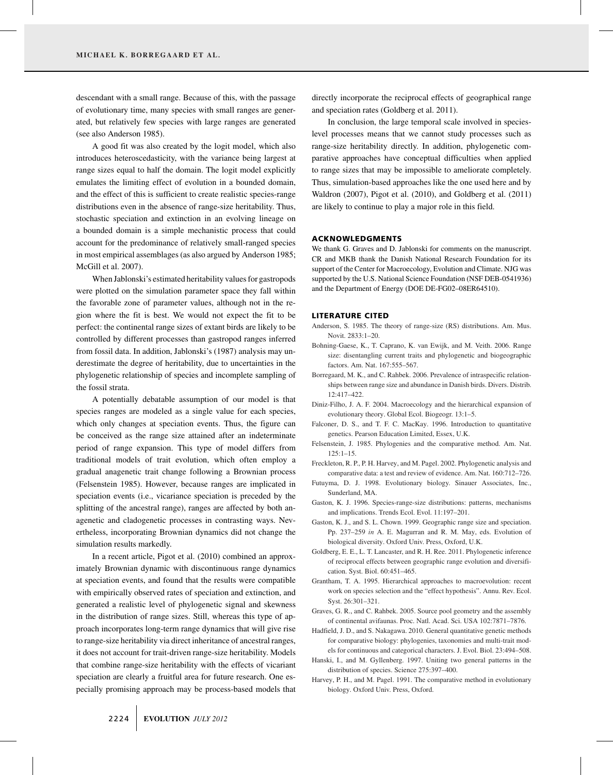descendant with a small range. Because of this, with the passage of evolutionary time, many species with small ranges are generated, but relatively few species with large ranges are generated (see also Anderson 1985).

A good fit was also created by the logit model, which also introduces heteroscedasticity, with the variance being largest at range sizes equal to half the domain. The logit model explicitly emulates the limiting effect of evolution in a bounded domain, and the effect of this is sufficient to create realistic species-range distributions even in the absence of range-size heritability. Thus, stochastic speciation and extinction in an evolving lineage on a bounded domain is a simple mechanistic process that could account for the predominance of relatively small-ranged species in most empirical assemblages (as also argued by Anderson 1985; McGill et al. 2007).

When Jablonski's estimated heritability values for gastropods were plotted on the simulation parameter space they fall within the favorable zone of parameter values, although not in the region where the fit is best. We would not expect the fit to be perfect: the continental range sizes of extant birds are likely to be controlled by different processes than gastropod ranges inferred from fossil data. In addition, Jablonski's (1987) analysis may underestimate the degree of heritability, due to uncertainties in the phylogenetic relationship of species and incomplete sampling of the fossil strata.

A potentially debatable assumption of our model is that species ranges are modeled as a single value for each species, which only changes at speciation events. Thus, the figure can be conceived as the range size attained after an indeterminate period of range expansion. This type of model differs from traditional models of trait evolution, which often employ a gradual anagenetic trait change following a Brownian process (Felsenstein 1985). However, because ranges are implicated in speciation events (i.e., vicariance speciation is preceded by the splitting of the ancestral range), ranges are affected by both anagenetic and cladogenetic processes in contrasting ways. Nevertheless, incorporating Brownian dynamics did not change the simulation results markedly.

In a recent article, Pigot et al. (2010) combined an approximately Brownian dynamic with discontinuous range dynamics at speciation events, and found that the results were compatible with empirically observed rates of speciation and extinction, and generated a realistic level of phylogenetic signal and skewness in the distribution of range sizes. Still, whereas this type of approach incorporates long-term range dynamics that will give rise to range-size heritability via direct inheritance of ancestral ranges, it does not account for trait-driven range-size heritability. Models that combine range-size heritability with the effects of vicariant speciation are clearly a fruitful area for future research. One especially promising approach may be process-based models that directly incorporate the reciprocal effects of geographical range and speciation rates (Goldberg et al. 2011).

In conclusion, the large temporal scale involved in specieslevel processes means that we cannot study processes such as range-size heritability directly. In addition, phylogenetic comparative approaches have conceptual difficulties when applied to range sizes that may be impossible to ameliorate completely. Thus, simulation-based approaches like the one used here and by Waldron (2007), Pigot et al. (2010), and Goldberg et al. (2011) are likely to continue to play a major role in this field.

#### **ACKNOWLEDGMENTS**

We thank G. Graves and D. Jablonski for comments on the manuscript. CR and MKB thank the Danish National Research Foundation for its support of the Center for Macroecology, Evolution and Climate. NJG was supported by the U.S. National Science Foundation (NSF DEB-0541936) and the Department of Energy (DOE DE-FG02–08ER64510).

#### **LITERATURE CITED**

- Anderson, S. 1985. The theory of range-size (RS) distributions. Am. Mus. Novit. 2833:1–20.
- Bohning-Gaese, K., T. Caprano, K. van Ewijk, and M. Veith. 2006. Range size: disentangling current traits and phylogenetic and biogeographic factors. Am. Nat. 167:555–567.
- Borregaard, M. K., and C. Rahbek. 2006. Prevalence of intraspecific relationships between range size and abundance in Danish birds. Divers. Distrib. 12:417–422.
- Diniz-Filho, J. A. F. 2004. Macroecology and the hierarchical expansion of evolutionary theory. Global Ecol. Biogeogr. 13:1–5.
- Falconer, D. S., and T. F. C. MacKay. 1996. Introduction to quantitative genetics. Pearson Education Limited, Essex, U.K.
- Felsenstein, J. 1985. Phylogenies and the comparative method. Am. Nat. 125:1–15.
- Freckleton, R. P., P. H. Harvey, and M. Pagel. 2002. Phylogenetic analysis and comparative data: a test and review of evidence. Am. Nat. 160:712–726.
- Futuyma, D. J. 1998. Evolutionary biology. Sinauer Associates, Inc., Sunderland, MA.
- Gaston, K. J. 1996. Species-range-size distributions: patterns, mechanisms and implications. Trends Ecol. Evol. 11:197–201.
- Gaston, K. J., and S. L. Chown. 1999. Geographic range size and speciation. Pp. 237–259 *in* A. E. Magurran and R. M. May, eds. Evolution of biological diversity. Oxford Univ. Press, Oxford, U.K.
- Goldberg, E. E., L. T. Lancaster, and R. H. Ree. 2011. Phylogenetic inference of reciprocal effects between geographic range evolution and diversification. Syst. Biol. 60:451–465.
- Grantham, T. A. 1995. Hierarchical approaches to macroevolution: recent work on species selection and the "effect hypothesis". Annu. Rev. Ecol. Syst. 26:301–321.
- Graves, G. R., and C. Rahbek. 2005. Source pool geometry and the assembly of continental avifaunas. Proc. Natl. Acad. Sci. USA 102:7871–7876.
- Hadfield, J. D., and S. Nakagawa. 2010. General quantitative genetic methods for comparative biology: phylogenies, taxonomies and multi-trait models for continuous and categorical characters. J. Evol. Biol. 23:494–508.
- Hanski, I., and M. Gyllenberg. 1997. Uniting two general patterns in the distribution of species. Science 275:397–400.
- Harvey, P. H., and M. Pagel. 1991. The comparative method in evolutionary biology. Oxford Univ. Press, Oxford.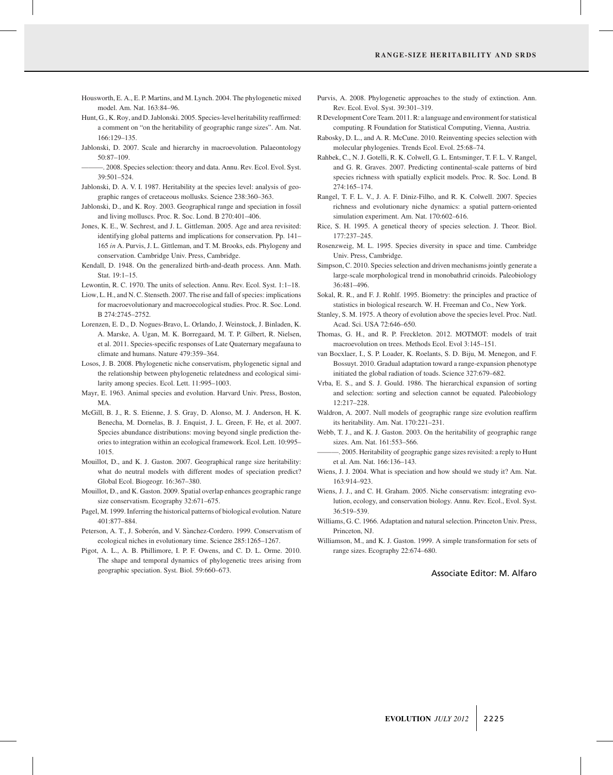- Housworth, E. A., E. P. Martins, and M. Lynch. 2004. The phylogenetic mixed model. Am. Nat. 163:84–96.
- Hunt, G., K. Roy, and D. Jablonski. 2005. Species-level heritability reaffirmed: a comment on "on the heritability of geographic range sizes". Am. Nat. 166:129–135.
- Jablonski, D. 2007. Scale and hierarchy in macroevolution. Palaeontology 50:87–109.
- ———. 2008. Species selection: theory and data. Annu. Rev. Ecol. Evol. Syst. 39:501–524.
- Jablonski, D. A. V. I. 1987. Heritability at the species level: analysis of geographic ranges of cretaceous mollusks. Science 238:360–363.
- Jablonski, D., and K. Roy. 2003. Geographical range and speciation in fossil and living molluscs. Proc. R. Soc. Lond. B 270:401–406.
- Jones, K. E., W. Sechrest, and J. L. Gittleman. 2005. Age and area revisited: identifying global patterns and implications for conservation. Pp. 141– 165 *in* A. Purvis, J. L. Gittleman, and T. M. Brooks, eds. Phylogeny and conservation. Cambridge Univ. Press, Cambridge.
- Kendall, D. 1948. On the generalized birth-and-death process. Ann. Math. Stat. 19:1–15.
- Lewontin, R. C. 1970. The units of selection. Annu. Rev. Ecol. Syst. 1:1–18.
- Liow, L. H., and N. C. Stenseth. 2007. The rise and fall of species: implications for macroevolutionary and macroecological studies. Proc. R. Soc. Lond. B 274:2745–2752.
- Lorenzen, E. D., D. Nogues-Bravo, L. Orlando, J. Weinstock, J. Binladen, K. A. Marske, A. Ugan, M. K. Borregaard, M. T. P. Gilbert, R. Nielsen, et al. 2011. Species-specific responses of Late Quaternary megafauna to climate and humans. Nature 479:359–364.
- Losos, J. B. 2008. Phylogenetic niche conservatism, phylogenetic signal and the relationship between phylogenetic relatedness and ecological similarity among species. Ecol. Lett. 11:995–1003.
- Mayr, E. 1963. Animal species and evolution. Harvard Univ. Press, Boston, MA.
- McGill, B. J., R. S. Etienne, J. S. Gray, D. Alonso, M. J. Anderson, H. K. Benecha, M. Dornelas, B. J. Enquist, J. L. Green, F. He, et al. 2007. Species abundance distributions: moving beyond single prediction theories to integration within an ecological framework. Ecol. Lett. 10:995– 1015.
- Mouillot, D., and K. J. Gaston. 2007. Geographical range size heritability: what do neutral models with different modes of speciation predict? Global Ecol. Biogeogr. 16:367–380.
- Mouillot, D., and K. Gaston. 2009. Spatial overlap enhances geographic range size conservatism. Ecography 32:671–675.
- Pagel, M. 1999. Inferring the historical patterns of biological evolution. Nature 401:877–884.
- Peterson, A. T., J. Soberón, and V. Sànchez-Cordero. 1999. Conservatism of ecological niches in evolutionary time. Science 285:1265–1267.
- Pigot, A. L., A. B. Phillimore, I. P. F. Owens, and C. D. L. Orme. 2010. The shape and temporal dynamics of phylogenetic trees arising from geographic speciation. Syst. Biol. 59:660–673.
- Purvis, A. 2008. Phylogenetic approaches to the study of extinction. Ann. Rev. Ecol. Evol. Syst. 39:301–319.
- R Development Core Team. 2011. R: a language and environment for statistical computing. R Foundation for Statistical Computing, Vienna, Austria.
- Rabosky, D. L., and A. R. McCune. 2010. Reinventing species selection with molecular phylogenies. Trends Ecol. Evol. 25:68–74.
- Rahbek, C., N. J. Gotelli, R. K. Colwell, G. L. Entsminger, T. F. L. V. Rangel, and G. R. Graves. 2007. Predicting continental-scale patterns of bird species richness with spatially explicit models. Proc. R. Soc. Lond. B 274:165–174.
- Rangel, T. F. L. V., J. A. F. Diniz-Filho, and R. K. Colwell. 2007. Species richness and evolutionary niche dynamics: a spatial pattern-oriented simulation experiment. Am. Nat. 170:602–616.
- Rice, S. H. 1995. A genetical theory of species selection. J. Theor. Biol. 177:237–245.
- Rosenzweig, M. L. 1995. Species diversity in space and time. Cambridge Univ. Press, Cambridge.
- Simpson, C. 2010. Species selection and driven mechanisms jointly generate a large-scale morphological trend in monobathrid crinoids. Paleobiology 36:481–496.
- Sokal, R. R., and F. J. Rohlf. 1995. Biometry: the principles and practice of statistics in biological research. W. H. Freeman and Co., New York.
- Stanley, S. M. 1975. A theory of evolution above the species level. Proc. Natl. Acad. Sci. USA 72:646–650.
- Thomas, G. H., and R. P. Freckleton. 2012. MOTMOT: models of trait macroevolution on trees. Methods Ecol. Evol 3:145–151.
- van Bocxlaer, I., S. P. Loader, K. Roelants, S. D. Biju, M. Menegon, and F. Bossuyt. 2010. Gradual adaptation toward a range-expansion phenotype initiated the global radiation of toads. Science 327:679–682.
- Vrba, E. S., and S. J. Gould. 1986. The hierarchical expansion of sorting and selection: sorting and selection cannot be equated. Paleobiology  $12.217 - 228$
- Waldron, A. 2007. Null models of geographic range size evolution reaffirm its heritability. Am. Nat. 170:221–231.
- Webb, T. J., and K. J. Gaston. 2003. On the heritability of geographic range sizes. Am. Nat. 161:553–566.
- ———. 2005. Heritability of geographic gange sizes revisited: a reply to Hunt et al. Am. Nat. 166:136–143.
- Wiens, J. J. 2004. What is speciation and how should we study it? Am. Nat. 163:914–923.
- Wiens, J. J., and C. H. Graham. 2005. Niche conservatism: integrating evolution, ecology, and conservation biology. Annu. Rev. Ecol., Evol. Syst. 36:519–539.
- Williams, G. C. 1966. Adaptation and natural selection. Princeton Univ. Press, Princeton, NJ.
- Williamson, M., and K. J. Gaston. 1999. A simple transformation for sets of range sizes. Ecography 22:674–680.

#### Associate Editor: M. Alfaro